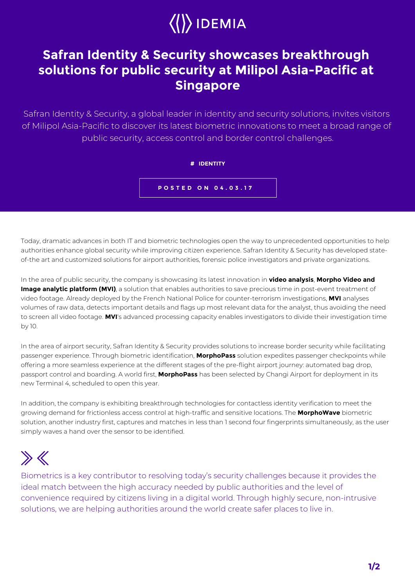

## **Safran Identity & Security showcases breakthrough solutions for public security at Milipol Asia-Pacific at Singapore**

Safran Identity & Security, a global leader in identity and security solutions, invites visitors of Milipol Asia-Pacific to discover its latest biometric innovations to meet a broad range of public security, access control and border control challenges.

**# IDENTITY**

**POSTED ON 04.03.17**

Today, dramatic advances in both IT and biometric technologies open the way to unprecedented opportunities to help authorities enhance global security while improving citizen experience. Safran Identity & Security has developed stateof-the art and customized solutions for airport authorities, forensic police investigators and private organizations.

In the area of public security, the company is showcasing its latest innovation in **video analysis**, **Morpho Video and Image analytic platform (MVI)**, a solution that enables authorities to save precious time in post-event treatment of video footage. Already deployed by the French National Police for counter-terrorism investigations, **MVI** analyses volumes of raw data, detects important details and flags up most relevant data for the analyst, thus avoiding the need to screen all video footage. **MVI**'s advanced processing capacity enables investigators to divide their investigation time by 10.

In the area of airport security, Safran Identity & Security provides solutions to increase border security while facilitating passenger experience. Through biometric identification, **MorphoPass** solution expedites passenger checkpoints while offering a more seamless experience at the different stages of the pre-flight airport journey: automated bag drop, passport control and boarding. A world first, **MorphoPass** has been selected by Changi Airport for deployment in its new Terminal 4, scheduled to open this year.

In addition, the company is exhibiting breakthrough technologies for contactless identity verification to meet the growing demand for frictionless access control at high-traffic and sensitive locations. The **MorphoWave** biometric solution, another industry first, captures and matches in less than 1 second four fingerprints simultaneously, as the user simply waves a hand over the sensor to be identified.

## $\gg K$

Biometrics is a key contributor to resolving today's security challenges because it provides the ideal match between the high accuracy needed by public authorities and the level of convenience required by citizens living in a digital world. Through highly secure, non-intrusive solutions, we are helping authorities around the world create safer places to live in.